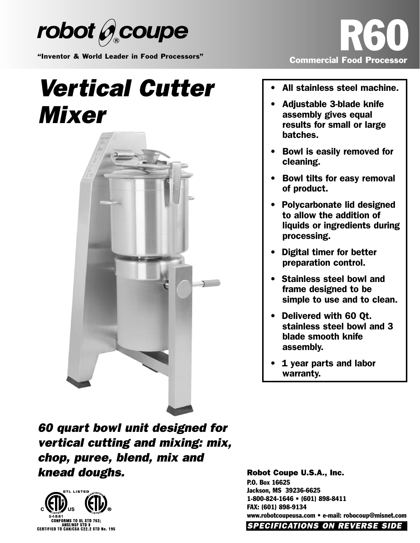

"Inventor & World Leader in Food Processors"

## *Vertical Cutter Mixer*





- All stainless steel machine.
- Adjustable 3-blade knife assembly gives equal results for small or large batches.
- Bowl is easily removed for cleaning.
- Bowl tilts for easy removal of product.
- Polycarbonate lid designed to allow the addition of liquids or ingredients during processing.
- Digital timer for better preparation control.
- Stainless steel bowl and frame designed to be simple to use and to clean.
- Delivered with 60 Qt. stainless steel bowl and 3 blade smooth knife assembly.
- 1 year parts and labor warranty.

*60 quart bowl unit designed for vertical cutting and mixing: mix, chop, puree, blend, mix and knead doughs.*



Robot Coupe U.S.A., Inc. P.O. Box 16625 Jackson, MS 39236-6625 1-800-824-1646 • (601) 898-8411 FAX: (601) 898-9134 www.robotcoupeusa.com • e-mail: robocoup@misnet.com *SPECIFICATIONS ON REVERSE SIDE*